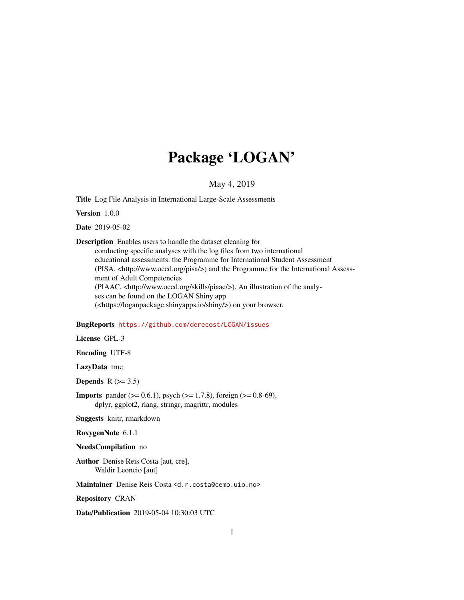# Package 'LOGAN'

#### May 4, 2019

Title Log File Analysis in International Large-Scale Assessments

Version 1.0.0

Date 2019-05-02

Description Enables users to handle the dataset cleaning for

conducting specific analyses with the log files from two international educational assessments: the Programme for International Student Assessment (PISA, <http://www.oecd.org/pisa/>) and the Programme for the International Assessment of Adult Competencies (PIAAC, <http://www.oecd.org/skills/piaac/>). An illustration of the analyses can be found on the LOGAN Shiny app (<https://loganpackage.shinyapps.io/shiny/>) on your browser.

#### BugReports <https://github.com/derecost/LOGAN/issues>

License GPL-3

Encoding UTF-8

LazyData true

Depends  $R$  ( $>= 3.5$ )

**Imports** pander ( $>= 0.6.1$ ), psych ( $>= 1.7.8$ ), foreign ( $>= 0.8-69$ ), dplyr, ggplot2, rlang, stringr, magrittr, modules

Suggests knitr, rmarkdown

RoxygenNote 6.1.1

#### NeedsCompilation no

Author Denise Reis Costa [aut, cre], Waldir Leoncio [aut]

Maintainer Denise Reis Costa <d.r.costa@cemo.uio.no>

Repository CRAN

Date/Publication 2019-05-04 10:30:03 UTC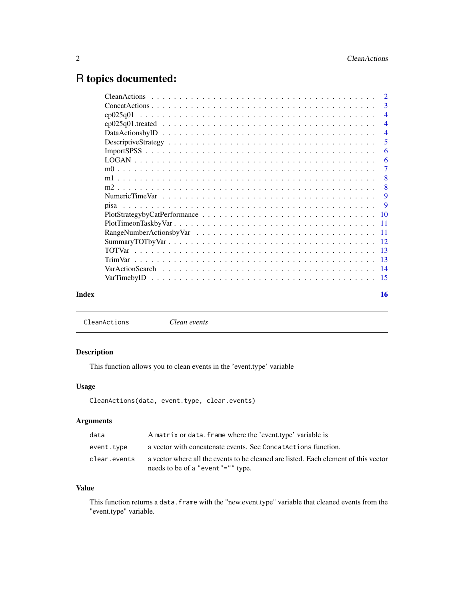## <span id="page-1-0"></span>R topics documented:

|       |                | -3                        |
|-------|----------------|---------------------------|
|       | cp025q01       |                           |
|       |                | $\overline{4}$            |
|       |                | $\overline{4}$            |
|       |                |                           |
|       |                | 6                         |
|       |                | -6                        |
|       |                |                           |
|       |                | $\overline{\phantom{0}}8$ |
|       |                | -8                        |
|       |                |                           |
|       |                |                           |
|       |                |                           |
|       |                |                           |
|       |                |                           |
|       |                |                           |
|       |                |                           |
|       | <b>TrimVar</b> |                           |
|       |                |                           |
|       |                |                           |
| Index |                | 16                        |

CleanActions *Clean events*

#### Description

This function allows you to clean events in the 'event.type' variable

#### Usage

CleanActions(data, event.type, clear.events)

### Arguments

| data         | A matrix or data. frame where the 'event.type' variable is                                                               |
|--------------|--------------------------------------------------------------------------------------------------------------------------|
| event.type   | a vector with concatenate events. See Concatanctions function.                                                           |
| clear.events | a vector where all the events to be cleaned are listed. Each element of this vector<br>needs to be of a "event"="" type. |

#### Value

This function returns a data. frame with the "new.event.type" variable that cleaned events from the "event.type" variable.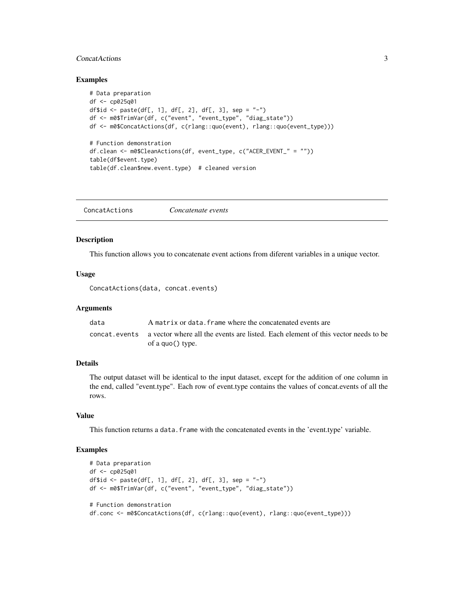#### <span id="page-2-0"></span>ConcatActions 3

#### Examples

```
# Data preparation
df <- cp025q01
df$id <- paste(df[, 1], df[, 2], df[, 3], sep = "-")
df <- m0$TrimVar(df, c("event", "event_type", "diag_state"))
df <- m0$ConcatActions(df, c(rlang::quo(event), rlang::quo(event_type)))
# Function demonstration
df.clean <- m0$CleanActions(df, event_type, c("ACER_EVENT_" = ""))
table(df$event.type)
table(df.clean$new.event.type) # cleaned version
```
ConcatActions *Concatenate events*

#### Description

This function allows you to concatenate event actions from diferent variables in a unique vector.

#### Usage

ConcatActions(data, concat.events)

#### Arguments

| data | A matrix or data, frame where the concatenated events are                                                            |
|------|----------------------------------------------------------------------------------------------------------------------|
|      | concat, events a vector where all the events are listed. Each element of this vector needs to be<br>of a quo() type. |
|      |                                                                                                                      |

#### Details

The output dataset will be identical to the input dataset, except for the addition of one column in the end, called "event.type". Each row of event.type contains the values of concat.events of all the rows.

#### Value

This function returns a data. frame with the concatenated events in the 'event.type' variable.

```
# Data preparation
df <- cp025q01
df$id <- paste(df[, 1], df[, 2], df[, 3], sep = "-")
df <- m0$TrimVar(df, c("event", "event_type", "diag_state"))
# Function demonstration
df.conc <- m0$ConcatActions(df, c(rlang::quo(event), rlang::quo(event_type)))
```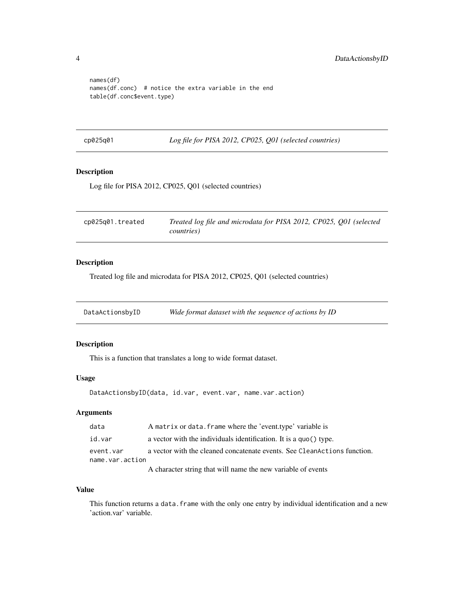```
names(df)
names(df.conc) # notice the extra variable in the end
table(df.conc$event.type)
```
cp025q01 *Log file for PISA 2012, CP025, Q01 (selected countries)*

#### Description

Log file for PISA 2012, CP025, Q01 (selected countries)

| cp025q01.treated | Treated log file and microdata for PISA 2012, CP025, Q01 (selected |
|------------------|--------------------------------------------------------------------|
|                  | <i>countries</i> )                                                 |

#### Description

Treated log file and microdata for PISA 2012, CP025, Q01 (selected countries)

DataActionsbyID *Wide format dataset with the sequence of actions by ID*

#### Description

This is a function that translates a long to wide format dataset.

#### Usage

```
DataActionsbyID(data, id.var, event.var, name.var.action)
```
#### Arguments

| data            | A matrix or data. frame where the 'event.type' variable is               |
|-----------------|--------------------------------------------------------------------------|
| id.var          | a vector with the individuals identification. It is a quo() type.        |
| event.var       | a vector with the cleaned concatenate events. See CleanActions function. |
| name.var.action |                                                                          |
|                 | A character string that will name the new variable of events             |

#### Value

This function returns a data.frame with the only one entry by individual identification and a new 'action.var' variable.

<span id="page-3-0"></span>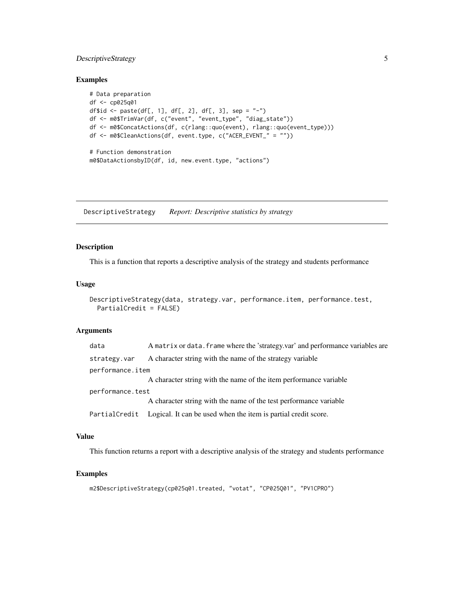#### <span id="page-4-0"></span>DescriptiveStrategy 5

#### Examples

```
# Data preparation
df <- cp025q01
df$id <- paste(df[, 1], df[, 2], df[, 3], sep = "-")
df <- m0$TrimVar(df, c("event", "event_type", "diag_state"))
df <- m0$ConcatActions(df, c(rlang::quo(event), rlang::quo(event_type)))
df <- m0$CleanActions(df, event.type, c("ACER_EVENT_" = ""))
# Function demonstration
m0$DataActionsbyID(df, id, new.event.type, "actions")
```
DescriptiveStrategy *Report: Descriptive statistics by strategy*

#### Description

This is a function that reports a descriptive analysis of the strategy and students performance

#### Usage

```
DescriptiveStrategy(data, strategy.var, performance.item, performance.test,
 PartialCredit = FALSE)
```
#### Arguments

| data             | A matrix or data. frame where the 'strategy.var' and performance variables are |  |
|------------------|--------------------------------------------------------------------------------|--|
| strategy.var     | A character string with the name of the strategy variable                      |  |
| performance.item |                                                                                |  |
|                  | A character string with the name of the item performance variable              |  |
| performance.test |                                                                                |  |
|                  | A character string with the name of the test performance variable              |  |
| PartialCredit    | Logical. It can be used when the item is partial credit score.                 |  |

#### Value

This function returns a report with a descriptive analysis of the strategy and students performance

```
m2$DescriptiveStrategy(cp025q01.treated, "votat", "CP025Q01", "PV1CPRO")
```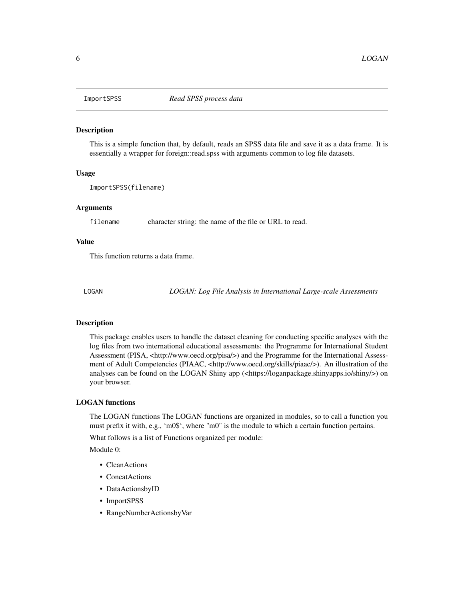<span id="page-5-0"></span>

This is a simple function that, by default, reads an SPSS data file and save it as a data frame. It is essentially a wrapper for foreign::read.spss with arguments common to log file datasets.

#### Usage

ImportSPSS(filename)

#### Arguments

filename character string: the name of the file or URL to read.

#### Value

This function returns a data frame.

LOGAN *LOGAN: Log File Analysis in International Large-scale Assessments*

#### Description

This package enables users to handle the dataset cleaning for conducting specific analyses with the log files from two international educational assessments: the Programme for International Student Assessment (PISA, <http://www.oecd.org/pisa/>) and the Programme for the International Assessment of Adult Competencies (PIAAC, <http://www.oecd.org/skills/piaac/>). An illustration of the analyses can be found on the LOGAN Shiny app (<https://loganpackage.shinyapps.io/shiny/>) on your browser.

#### LOGAN functions

The LOGAN functions The LOGAN functions are organized in modules, so to call a function you must prefix it with, e.g., 'm0\$', where "m0" is the module to which a certain function pertains.

What follows is a list of Functions organized per module:

Module 0:

- CleanActions
- ConcatActions
- DataActionsbyID
- ImportSPSS
- RangeNumberActionsbyVar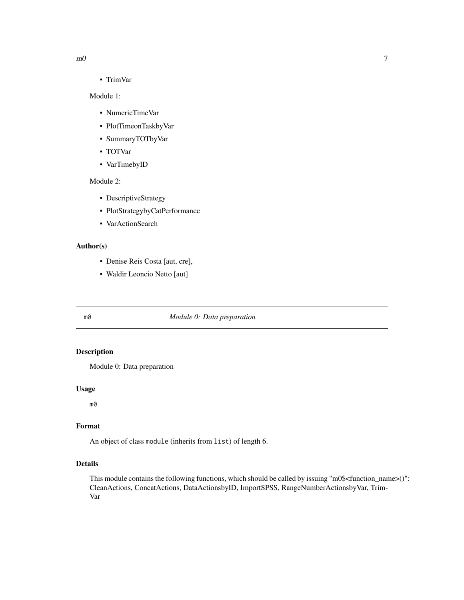<span id="page-6-0"></span>• TrimVar

#### Module 1:

- NumericTimeVar
- PlotTimeonTaskbyVar
- SummaryTOTbyVar
- TOTVar
- VarTimebyID

#### Module 2:

- DescriptiveStrategy
- PlotStrategybyCatPerformance
- VarActionSearch

#### Author(s)

- Denise Reis Costa [aut, cre],
- Waldir Leoncio Netto [aut]

#### m0 *Module 0: Data preparation*

#### Description

Module 0: Data preparation

#### Usage

m0

#### Format

An object of class module (inherits from list) of length 6.

#### Details

This module contains the following functions, which should be called by issuing "m0\$<function\_name>()": CleanActions, ConcatActions, DataActionsbyID, ImportSPSS, RangeNumberActionsbyVar, Trim-Var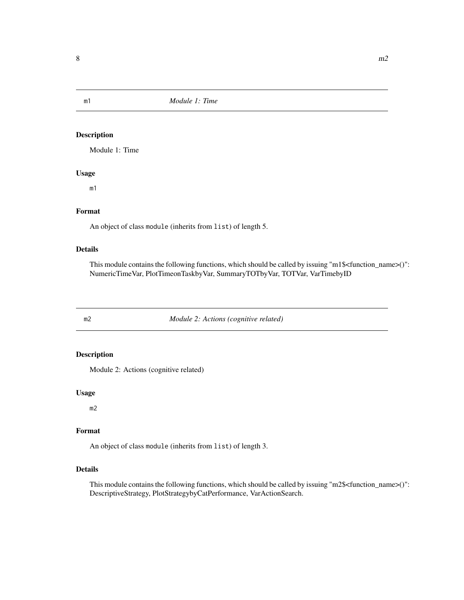<span id="page-7-0"></span>m1 *Module 1: Time*

#### Description

Module 1: Time

#### Usage

m1

#### Format

An object of class module (inherits from list) of length 5.

#### Details

This module contains the following functions, which should be called by issuing "m1\$<function\_name>()": NumericTimeVar, PlotTimeonTaskbyVar, SummaryTOTbyVar, TOTVar, VarTimebyID

m2 *Module 2: Actions (cognitive related)*

#### Description

Module 2: Actions (cognitive related)

#### Usage

m2

#### Format

An object of class module (inherits from list) of length 3.

#### Details

This module contains the following functions, which should be called by issuing "m2\$<function\_name>()": DescriptiveStrategy, PlotStrategybyCatPerformance, VarActionSearch.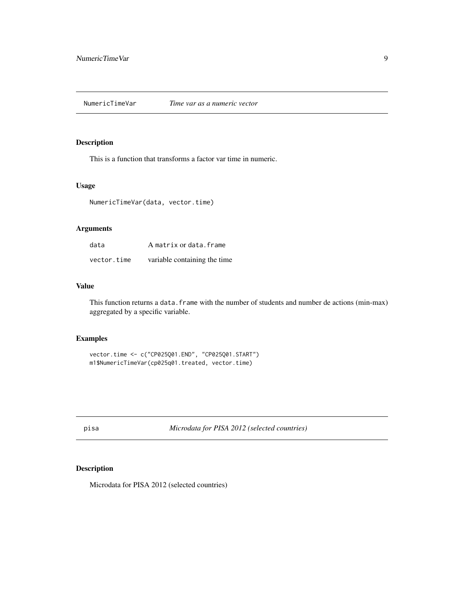<span id="page-8-0"></span>This is a function that transforms a factor var time in numeric.

#### Usage

NumericTimeVar(data, vector.time)

#### Arguments

| data        | A matrix or data.frame       |
|-------------|------------------------------|
| vector.time | variable containing the time |

#### Value

This function returns a data. frame with the number of students and number de actions (min-max) aggregated by a specific variable.

#### Examples

```
vector.time <- c("CP025Q01.END", "CP025Q01.START")
m1$NumericTimeVar(cp025q01.treated, vector.time)
```
pisa *Microdata for PISA 2012 (selected countries)*

#### Description

Microdata for PISA 2012 (selected countries)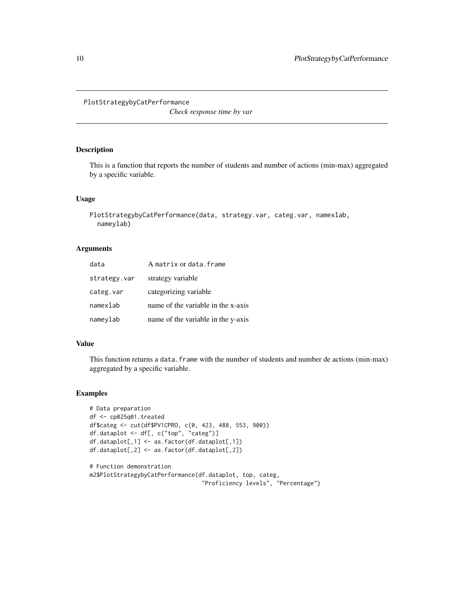#### <span id="page-9-0"></span>PlotStrategybyCatPerformance

*Check response time by var*

#### Description

This is a function that reports the number of students and number of actions (min-max) aggregated by a specific variable.

#### Usage

```
PlotStrategybyCatPerformance(data, strategy.var, categ.var, namexlab,
  nameylab)
```
#### Arguments

| data         | A matrix or data.frame             |
|--------------|------------------------------------|
| strategy.var | strategy variable                  |
| categ.var    | categorizing variable              |
| namexlab     | name of the variable in the x-axis |
| nameylab     | name of the variable in the y-axis |

#### Value

This function returns a data. frame with the number of students and number de actions (min-max) aggregated by a specific variable.

```
# Data preparation
df <- cp025q01.treated
df$categ <- cut(df$PV1CPRO, c(0, 423, 488, 553, 900))
df.dataplot <- df[, c("top", "categ")]
df.dataplot[,1] <- as.factor(df.dataplot[,1])
df.dataplot[,2] <- as.factor(df.dataplot[,2])
# Function demonstration
```

```
m2$PlotStrategybyCatPerformance(df.dataplot, top, categ,
                                "Proficiency levels", "Percentage")
```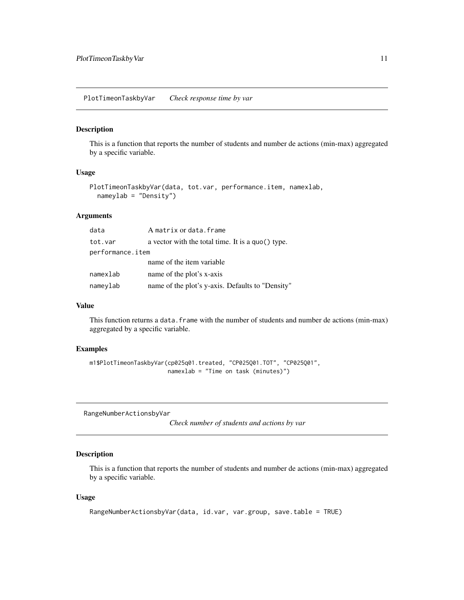<span id="page-10-0"></span>PlotTimeonTaskbyVar *Check response time by var*

#### Description

This is a function that reports the number of students and number de actions (min-max) aggregated by a specific variable.

#### Usage

```
PlotTimeonTaskbyVar(data, tot.var, performance.item, namexlab,
  nameylab = "Density")
```
#### Arguments

| data             | A matrix or data.frame                            |
|------------------|---------------------------------------------------|
| tot.var          | a vector with the total time. It is a quo() type. |
| performance.item |                                                   |
|                  | name of the item variable                         |
| namexlab         | name of the plot's x-axis                         |
| nameylab         | name of the plot's y-axis. Defaults to "Density"  |

#### Value

This function returns a data. frame with the number of students and number de actions (min-max) aggregated by a specific variable.

#### Examples

```
m1$PlotTimeonTaskbyVar(cp025q01.treated, "CP025Q01.TOT", "CP025Q01",
                       namexlab = "Time on task (minutes)")
```
RangeNumberActionsbyVar

*Check number of students and actions by var*

#### Description

This is a function that reports the number of students and number de actions (min-max) aggregated by a specific variable.

#### Usage

```
RangeNumberActionsbyVar(data, id.var, var.group, save.table = TRUE)
```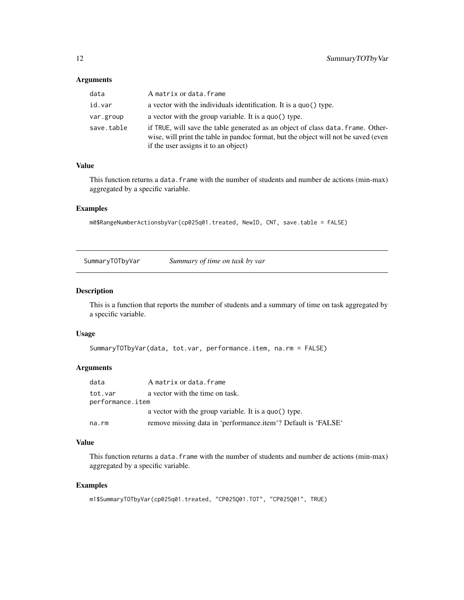#### <span id="page-11-0"></span>Arguments

| data       | A matrix or data. frame                                                                                                                                                                                         |
|------------|-----------------------------------------------------------------------------------------------------------------------------------------------------------------------------------------------------------------|
| id.var     | a vector with the individuals identification. It is a quo() type.                                                                                                                                               |
| var.group  | a vector with the group variable. It is a quo() type.                                                                                                                                                           |
| save.table | if TRUE, will save the table generated as an object of class data. frame. Other-<br>wise, will print the table in pandoc format, but the object will not be saved (even<br>if the user assigns it to an object) |

#### Value

This function returns a data. frame with the number of students and number de actions (min-max) aggregated by a specific variable.

#### Examples

m0\$RangeNumberActionsbyVar(cp025q01.treated, NewID, CNT, save.table = FALSE)

SummaryTOTbyVar *Summary of time on task by var*

#### Description

This is a function that reports the number of students and a summary of time on task aggregated by a specific variable.

#### Usage

```
SummaryTOTbyVar(data, tot.var, performance.item, na.rm = FALSE)
```
#### Arguments

| data                                                           | A matrix or data.frame                                        |
|----------------------------------------------------------------|---------------------------------------------------------------|
| a vector with the time on task.<br>tot.var<br>performance.item |                                                               |
|                                                                | a vector with the group variable. It is a quo() type.         |
| na.rm                                                          | remove missing data in 'performance.item'? Default is 'FALSE' |

#### Value

This function returns a data.frame with the number of students and number de actions (min-max) aggregated by a specific variable.

```
m1$SummaryTOTbyVar(cp025q01.treated, "CP025Q01.TOT", "CP025Q01", TRUE)
```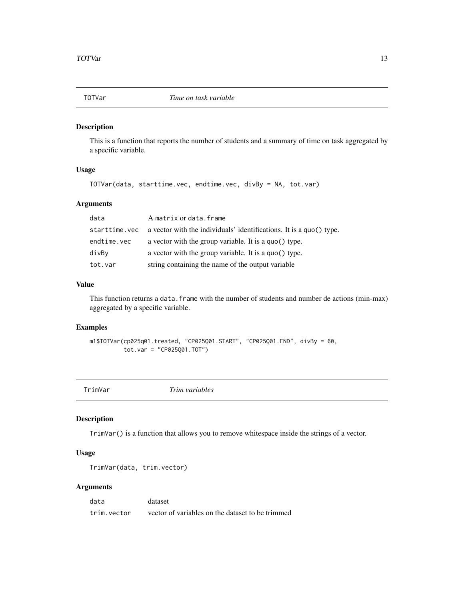<span id="page-12-0"></span>

This is a function that reports the number of students and a summary of time on task aggregated by a specific variable.

#### Usage

```
TOTVar(data, starttime.vec, endtime.vec, divBy = NA, tot.var)
```
#### Arguments

| data          | A matrix or data.frame                                              |
|---------------|---------------------------------------------------------------------|
| starttime.vec | a vector with the individuals' identifications. It is a quo() type. |
| endtime.vec   | a vector with the group variable. It is a quo() type.               |
| divBy         | a vector with the group variable. It is a quo() type.               |
| tot.var       | string containing the name of the output variable                   |

#### Value

This function returns a data.frame with the number of students and number de actions (min-max) aggregated by a specific variable.

#### Examples

```
m1$TOTVar(cp025q01.treated, "CP025Q01.START", "CP025Q01.END", divBy = 60,
          tot.var = "CP025Q01.TOT")
```
TrimVar *Trim variables*

#### Description

TrimVar() is a function that allows you to remove whitespace inside the strings of a vector.

#### Usage

```
TrimVar(data, trim.vector)
```
#### Arguments

| data        | dataset                                          |
|-------------|--------------------------------------------------|
| trim.vector | vector of variables on the dataset to be trimmed |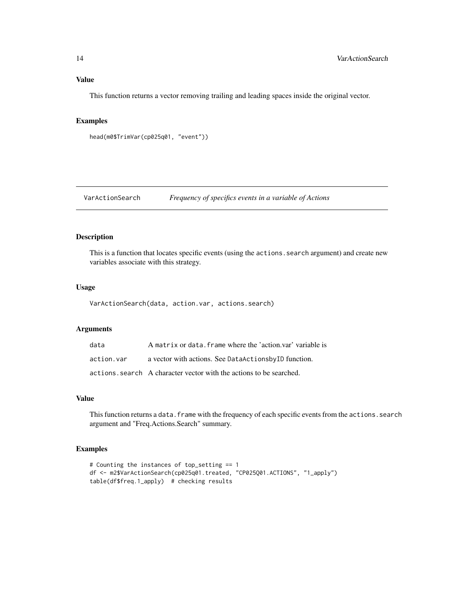#### <span id="page-13-0"></span>Value

This function returns a vector removing trailing and leading spaces inside the original vector.

#### Examples

```
head(m0$TrimVar(cp025q01, "event"))
```

```
VarActionSearch Frequency of specifics events in a variable of Actions
```
#### Description

This is a function that locates specific events (using the actions. search argument) and create new variables associate with this strategy.

#### Usage

VarActionSearch(data, action.var, actions.search)

#### Arguments

| data       | A matrix or data. frame where the 'action.var' variable is          |
|------------|---------------------------------------------------------------------|
| action.var | a vector with actions. See DataActionsbyID function.                |
|            | actions, search A character vector with the actions to be searched. |

#### Value

This function returns a data. frame with the frequency of each specific events from the actions. search argument and "Freq.Actions.Search" summary.

```
# Counting the instances of top_setting == 1
df <- m2$VarActionSearch(cp025q01.treated, "CP025Q01.ACTIONS", "1_apply")
table(df$freq.1_apply) # checking results
```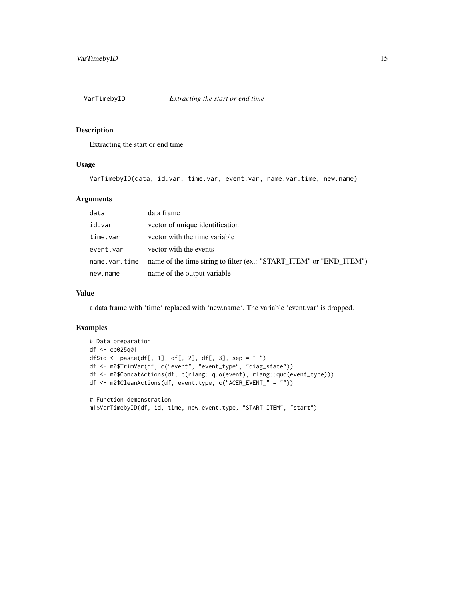<span id="page-14-0"></span>

Extracting the start or end time

#### Usage

VarTimebyID(data, id.var, time.var, event.var, name.var.time, new.name)

#### Arguments

| data          | data frame                                                          |
|---------------|---------------------------------------------------------------------|
| id.var        | vector of unique identification                                     |
| time.var      | vector with the time variable                                       |
| event.var     | vector with the events                                              |
| name.var.time | name of the time string to filter (ex.: "START_ITEM" or "END_ITEM") |
| new.name      | name of the output variable                                         |

#### Value

a data frame with 'time' replaced with 'new.name'. The variable 'event.var' is dropped.

```
# Data preparation
df <- cp025q01
df$id <- paste(df[, 1], df[, 2], df[, 3], sep = "-")
df <- m0$TrimVar(df, c("event", "event_type", "diag_state"))
df <- m0$ConcatActions(df, c(rlang::quo(event), rlang::quo(event_type)))
df <- m0$CleanActions(df, event.type, c("ACER_EVENT_" = ""))
# Function demonstration
m1$VarTimebyID(df, id, time, new.event.type, "START_ITEM", "start")
```